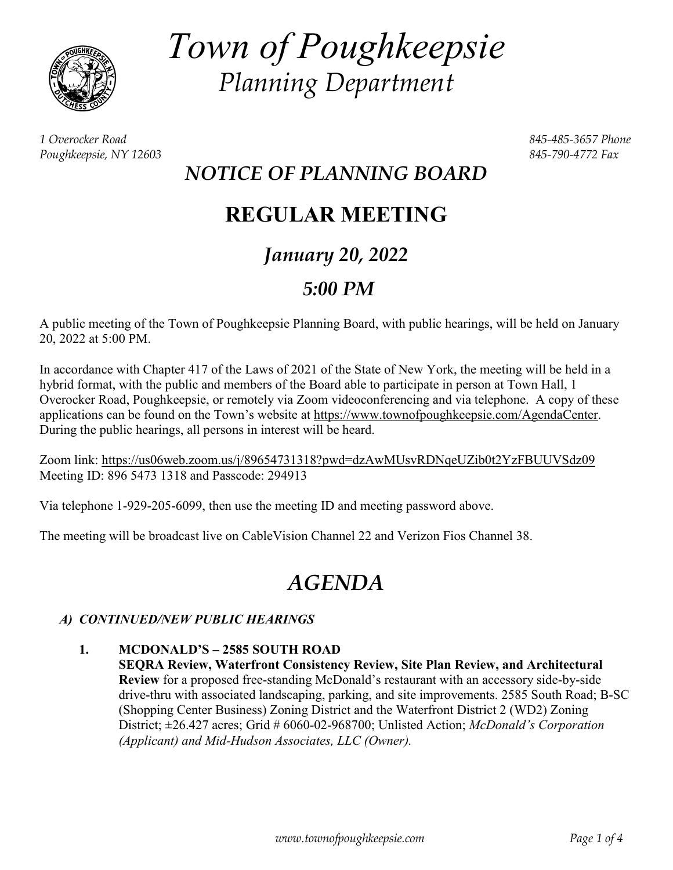

*Town of Poughkeepsie Planning Department*

*1 Overocker Road 845-485-3657 Phone Poughkeepsie, NY 12603 845-790-4772 Fax*

### *NOTICE OF PLANNING BOARD*

## **REGULAR MEETING**

## *January 20, 2022*

### *5:00 PM*

A public meeting of the Town of Poughkeepsie Planning Board, with public hearings, will be held on January 20, 2022 at 5:00 PM.

In accordance with Chapter 417 of the Laws of 2021 of the State of New York, the meeting will be held in a hybrid format, with the public and members of the Board able to participate in person at Town Hall, 1 Overocker Road, Poughkeepsie, or remotely via Zoom videoconferencing and via telephone. A copy of these applications can be found on the Town's website at [https://www.townofpoughkeepsie.com/AgendaCenter.](https://www.townofpoughkeepsie.com/AgendaCenter) During the public hearings, all persons in interest will be heard.

Zoom link:<https://us06web.zoom.us/j/89654731318?pwd=dzAwMUsvRDNqeUZib0t2YzFBUUVSdz09> Meeting ID: 896 5473 1318 and Passcode: 294913

Via telephone 1-929-205-6099, then use the meeting ID and meeting password above.

The meeting will be broadcast live on CableVision Channel 22 and Verizon Fios Channel 38.

# *AGENDA*

#### *A) CONTINUED/NEW PUBLIC HEARINGS*

**1. MCDONALD'S – 2585 SOUTH ROAD SEQRA Review, Waterfront Consistency Review, Site Plan Review, and Architectural Review** for a proposed free-standing McDonald's restaurant with an accessory side-by-side drive-thru with associated landscaping, parking, and site improvements. 2585 South Road; B-SC (Shopping Center Business) Zoning District and the Waterfront District 2 (WD2) Zoning District; ±26.427 acres; Grid # 6060-02-968700; Unlisted Action; *McDonald's Corporation (Applicant) and Mid-Hudson Associates, LLC (Owner).*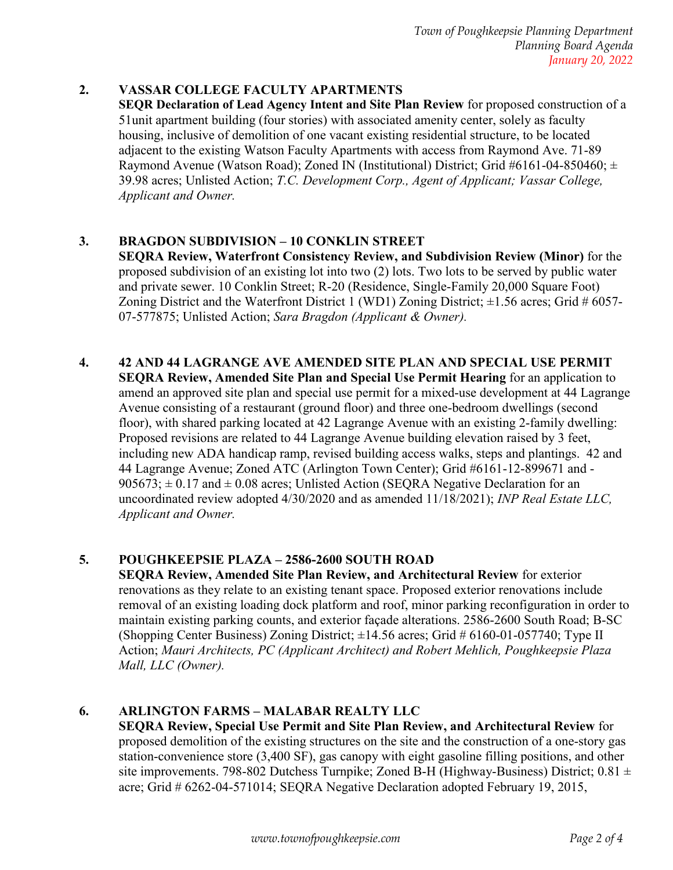*Town of Poughkeepsie Planning Department Planning Board Agenda January 20, 2022*

#### **2. VASSAR COLLEGE FACULTY APARTMENTS**

**SEQR Declaration of Lead Agency Intent and Site Plan Review** for proposed construction of a 51unit apartment building (four stories) with associated amenity center, solely as faculty housing, inclusive of demolition of one vacant existing residential structure, to be located adjacent to the existing Watson Faculty Apartments with access from Raymond Ave. 71-89 Raymond Avenue (Watson Road); Zoned IN (Institutional) District; Grid #6161-04-850460;  $\pm$ 39.98 acres; Unlisted Action; *T.C. Development Corp., Agent of Applicant; Vassar College, Applicant and Owner.*

#### **3. BRAGDON SUBDIVISION – 10 CONKLIN STREET**

**SEQRA Review, Waterfront Consistency Review, and Subdivision Review (Minor)** for the proposed subdivision of an existing lot into two (2) lots. Two lots to be served by public water and private sewer. 10 Conklin Street; R-20 (Residence, Single-Family 20,000 Square Foot) Zoning District and the Waterfront District 1 (WD1) Zoning District;  $\pm 1.56$  acres; Grid # 6057-07-577875; Unlisted Action; *Sara Bragdon (Applicant & Owner).*

#### **4. 42 AND 44 LAGRANGE AVE AMENDED SITE PLAN AND SPECIAL USE PERMIT**

**SEQRA Review, Amended Site Plan and Special Use Permit Hearing** for an application to amend an approved site plan and special use permit for a mixed-use development at 44 Lagrange Avenue consisting of a restaurant (ground floor) and three one-bedroom dwellings (second floor), with shared parking located at 42 Lagrange Avenue with an existing 2-family dwelling: Proposed revisions are related to 44 Lagrange Avenue building elevation raised by 3 feet, including new ADA handicap ramp, revised building access walks, steps and plantings. 42 and 44 Lagrange Avenue; Zoned ATC (Arlington Town Center); Grid #6161-12-899671 and -  $905673$ ;  $\pm$  0.17 and  $\pm$  0.08 acres; Unlisted Action (SEORA Negative Declaration for an uncoordinated review adopted 4/30/2020 and as amended 11/18/2021); *INP Real Estate LLC, Applicant and Owner.*

#### **5. POUGHKEEPSIE PLAZA – 2586-2600 SOUTH ROAD**

**SEQRA Review, Amended Site Plan Review, and Architectural Review** for exterior renovations as they relate to an existing tenant space. Proposed exterior renovations include removal of an existing loading dock platform and roof, minor parking reconfiguration in order to maintain existing parking counts, and exterior façade alterations. 2586-2600 South Road; B-SC (Shopping Center Business) Zoning District;  $\pm 14.56$  acres; Grid # 6160-01-057740; Type II Action; *Mauri Architects, PC (Applicant Architect) and Robert Mehlich, Poughkeepsie Plaza Mall, LLC (Owner).*

#### **6. ARLINGTON FARMS – MALABAR REALTY LLC**

**SEQRA Review, Special Use Permit and Site Plan Review, and Architectural Review** for proposed demolition of the existing structures on the site and the construction of a one-story gas station-convenience store (3,400 SF), gas canopy with eight gasoline filling positions, and other site improvements. 798-802 Dutchess Turnpike; Zoned B-H (Highway-Business) District;  $0.81 \pm$ acre; Grid # 6262-04-571014; SEQRA Negative Declaration adopted February 19, 2015,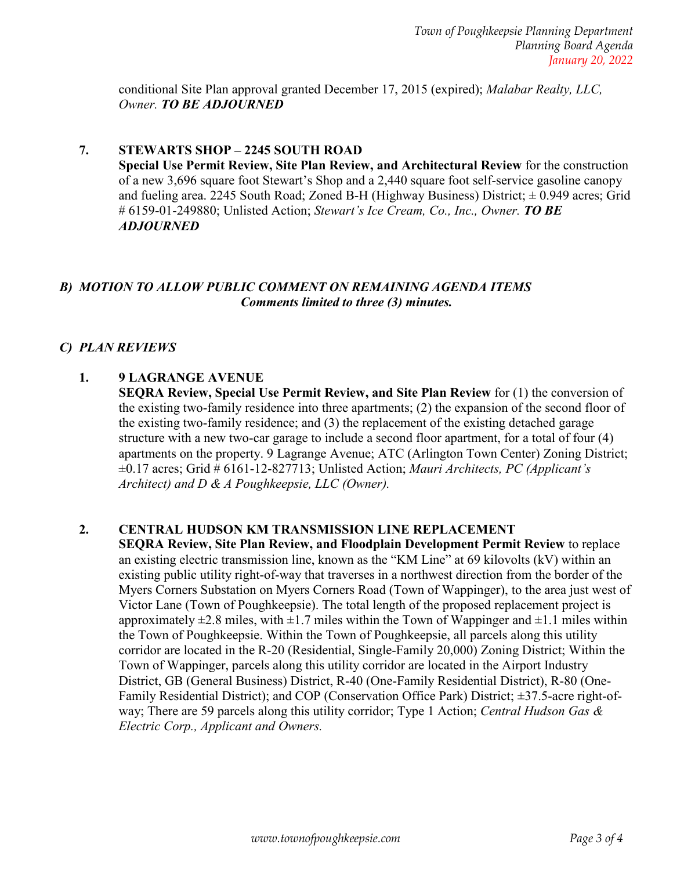conditional Site Plan approval granted December 17, 2015 (expired); *Malabar Realty, LLC, Owner. TO BE ADJOURNED*

#### **7. STEWARTS SHOP – 2245 SOUTH ROAD**

**Special Use Permit Review, Site Plan Review, and Architectural Review** for the construction of a new 3,696 square foot Stewart's Shop and a 2,440 square foot self-service gasoline canopy and fueling area. 2245 South Road; Zoned B-H (Highway Business) District;  $\pm$  0.949 acres; Grid # 6159-01-249880; Unlisted Action; *Stewart's Ice Cream, Co., Inc., Owner. TO BE ADJOURNED*

#### *B) MOTION TO ALLOW PUBLIC COMMENT ON REMAINING AGENDA ITEMS Comments limited to three (3) minutes.*

#### *C) PLAN REVIEWS*

#### **1. 9 LAGRANGE AVENUE**

**SEQRA Review, Special Use Permit Review, and Site Plan Review** for (1) the conversion of the existing two-family residence into three apartments; (2) the expansion of the second floor of the existing two-family residence; and (3) the replacement of the existing detached garage structure with a new two-car garage to include a second floor apartment, for a total of four (4) apartments on the property. 9 Lagrange Avenue; ATC (Arlington Town Center) Zoning District; ±0.17 acres; Grid # 6161-12-827713; Unlisted Action; *Mauri Architects, PC (Applicant's Architect) and D & A Poughkeepsie, LLC (Owner).*

#### **2. CENTRAL HUDSON KM TRANSMISSION LINE REPLACEMENT**

**SEQRA Review, Site Plan Review, and Floodplain Development Permit Review** to replace an existing electric transmission line, known as the "KM Line" at 69 kilovolts (kV) within an existing public utility right-of-way that traverses in a northwest direction from the border of the Myers Corners Substation on Myers Corners Road (Town of Wappinger), to the area just west of Victor Lane (Town of Poughkeepsie). The total length of the proposed replacement project is approximately  $\pm 2.8$  miles, with  $\pm 1.7$  miles within the Town of Wappinger and  $\pm 1.1$  miles within the Town of Poughkeepsie. Within the Town of Poughkeepsie, all parcels along this utility corridor are located in the R-20 (Residential, Single-Family 20,000) Zoning District; Within the Town of Wappinger, parcels along this utility corridor are located in the Airport Industry District, GB (General Business) District, R-40 (One-Family Residential District), R-80 (One-Family Residential District); and COP (Conservation Office Park) District; ±37.5-acre right-ofway; There are 59 parcels along this utility corridor; Type 1 Action; *Central Hudson Gas & Electric Corp., Applicant and Owners.*